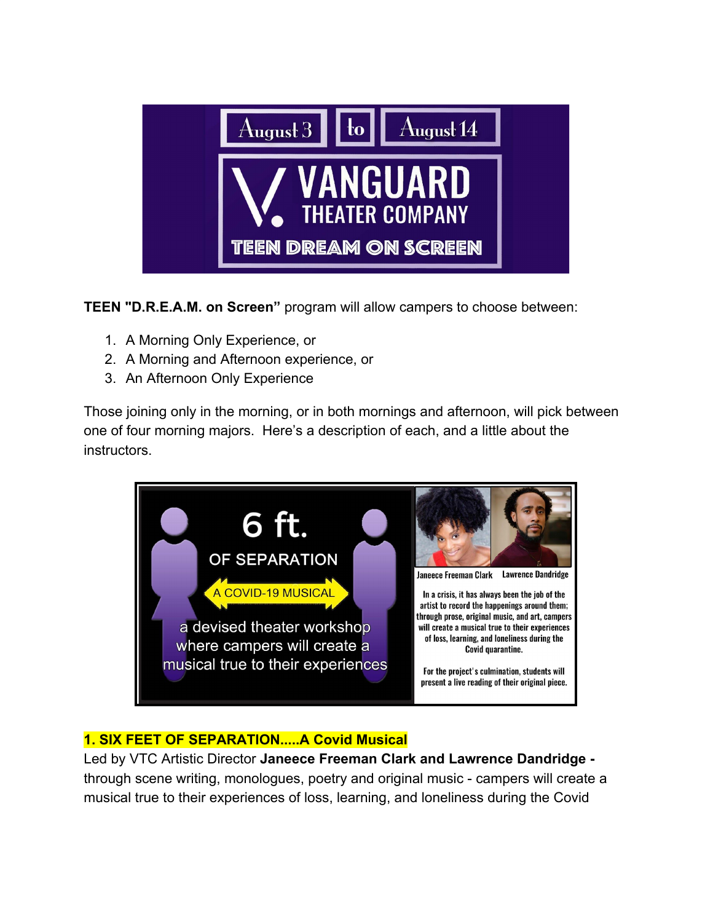

**TEEN "D.R.E.A.M. on Screen"** program will allow campers to choose between:

- 1. A Morning Only Experience, or
- 2. A Morning and Afternoon experience, or
- 3. An Afternoon Only Experience

Those joining only in the morning, or in both mornings and afternoon, will pick between one of four morning majors. Here's a description of each, and a little about the instructors.



# **1. SIX FEET OF SEPARATION.....A Covid Musical**

Led by VTC Artistic Director **Janeece Freeman Clark and Lawrence Dandridge**  through scene writing, monologues, poetry and original music - campers will create a musical true to their experiences of loss, learning, and loneliness during the Covid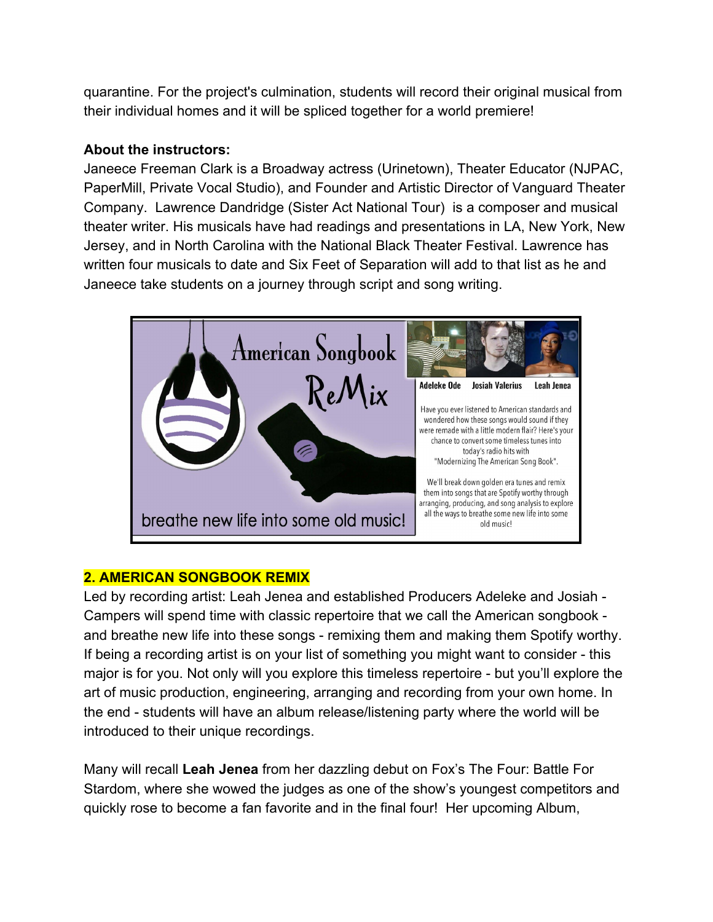quarantine. For the project's culmination, students will record their original musical from their individual homes and it will be spliced together for a world premiere!

### **About the instructors:**

Janeece Freeman Clark is a Broadway actress (Urinetown), Theater Educator (NJPAC, PaperMill, Private Vocal Studio), and Founder and Artistic Director of Vanguard Theater Company. Lawrence Dandridge (Sister Act National Tour) is a composer and musical theater writer. His musicals have had readings and presentations in LA, New York, New Jersey, and in North Carolina with the National Black Theater Festival. Lawrence has written four musicals to date and Six Feet of Separation will add to that list as he and Janeece take students on a journey through script and song writing.



# **2. AMERICAN SONGBOOK REMIX**

Led by recording artist: Leah Jenea and established Producers Adeleke and Josiah - Campers will spend time with classic repertoire that we call the American songbook and breathe new life into these songs - remixing them and making them Spotify worthy. If being a recording artist is on your list of something you might want to consider - this major is for you. Not only will you explore this timeless repertoire - but you'll explore the art of music production, engineering, arranging and recording from your own home. In the end - students will have an album release/listening party where the world will be introduced to their unique recordings.

Many will recall **Leah Jenea** from her dazzling debut on Fox's The Four: Battle For Stardom, where she wowed the judges as one of the show's youngest competitors and quickly rose to become a fan favorite and in the final four! Her upcoming Album,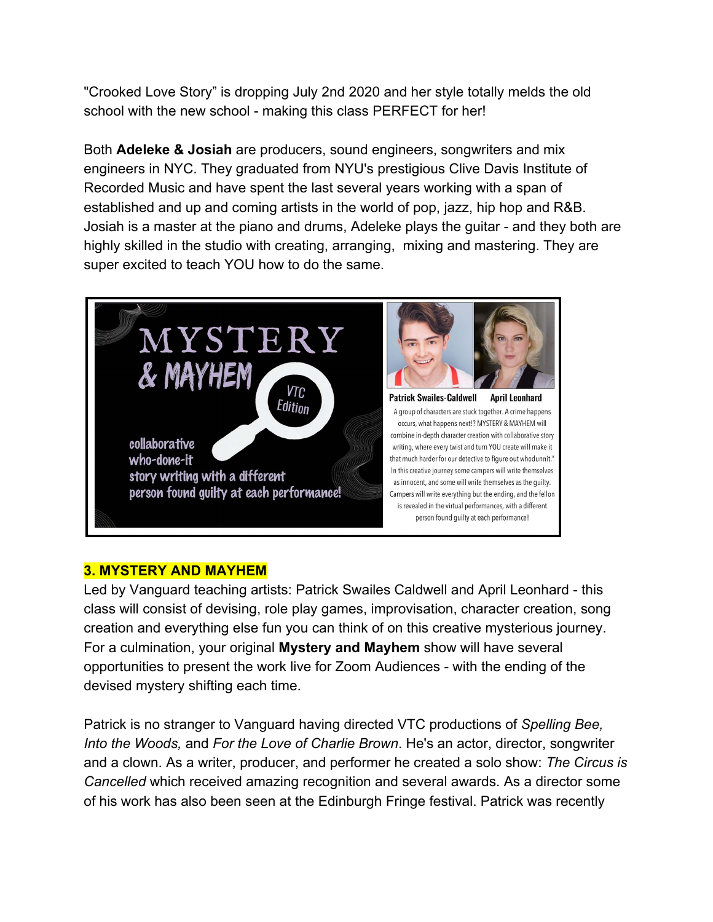"Crooked Love Story" is dropping July 2nd 2020 and her style totally melds the old school with the new school - making this class PERFECT for her!

Both **Adeleke & Josiah** are producers, sound engineers, songwriters and mix engineers in NYC. They graduated from NYU's prestigious Clive Davis Institute of Recorded Music and have spent the last several years working with a span of established and up and coming artists in the world of pop, jazz, hip hop and R&B. Josiah is a master at the piano and drums, Adeleke plays the guitar - and they both are highly skilled in the studio with creating, arranging, mixing and mastering. They are super excited to teach YOU how to do the same.



#### **3. MYSTERY AND MAYHEM**

Led by Vanguard teaching artists: Patrick Swailes Caldwell and April Leonhard - this class will consist of devising, role play games, improvisation, character creation, song creation and everything else fun you can think of on this creative mysterious journey. For a culmination, your original **Mystery and Mayhem** show will have several opportunities to present the work live for Zoom Audiences - with the ending of the devised mystery shifting each time.

Patrick is no stranger to Vanguard having directed VTC productions of *Spelling Bee, Into the Woods,* and *For the Love of Charlie Brown*. He's an actor, director, songwriter and a clown. As a writer, producer, and performer he created a solo show: *The Circus is Cancelled* which received amazing recognition and several awards. As a director some of his work has also been seen at the Edinburgh Fringe festival. Patrick was recently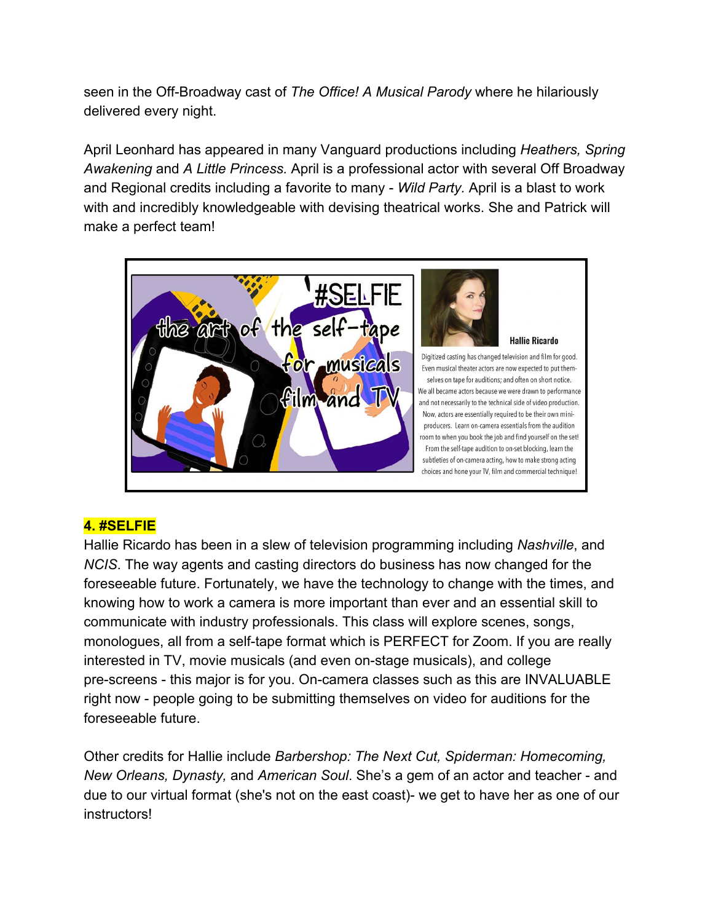seen in the Off-Broadway cast of *The Office! A Musical Parody* where he hilariously delivered every night.

April Leonhard has appeared in many Vanguard productions including *Heathers, Spring Awakening* and *A Little Princess.* April is a professional actor with several Off Broadway and Regional credits including a favorite to many - *Wild Party.* April is a blast to work with and incredibly knowledgeable with devising theatrical works. She and Patrick will make a perfect team!



# **4. #SELFIE**

Hallie Ricardo has been in a slew of television programming including *Nashville*, and *NCIS*. The way agents and casting directors do business has now changed for the foreseeable future. Fortunately, we have the technology to change with the times, and knowing how to work a camera is more important than ever and an essential skill to communicate with industry professionals. This class will explore scenes, songs, monologues, all from a self-tape format which is PERFECT for Zoom. If you are really interested in TV, movie musicals (and even on-stage musicals), and college pre-screens - this major is for you. On-camera classes such as this are INVALUABLE right now - people going to be submitting themselves on video for auditions for the foreseeable future.

Other credits for Hallie include *Barbershop: The Next Cut, Spiderman: Homecoming, New Orleans, Dynasty,* and *American Soul*. She's a gem of an actor and teacher - and due to our virtual format (she's not on the east coast)- we get to have her as one of our instructors!